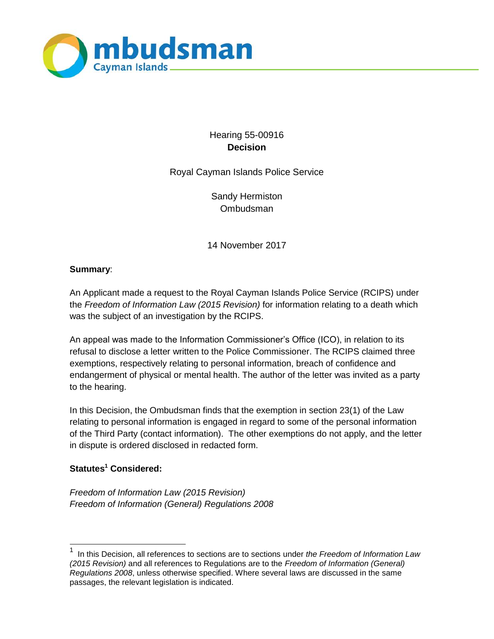

# Hearing 55-00916 **Decision**

Royal Cayman Islands Police Service

Sandy Hermiston **Ombudsman** 

14 November 2017

# **Summary**:

An Applicant made a request to the Royal Cayman Islands Police Service (RCIPS) under the *Freedom of Information Law (2015 Revision)* for information relating to a death which was the subject of an investigation by the RCIPS.

An appeal was made to the Information Commissioner's Office (ICO), in relation to its refusal to disclose a letter written to the Police Commissioner. The RCIPS claimed three exemptions, respectively relating to personal information, breach of confidence and endangerment of physical or mental health. The author of the letter was invited as a party to the hearing.

In this Decision, the Ombudsman finds that the exemption in section 23(1) of the Law relating to personal information is engaged in regard to some of the personal information of the Third Party (contact information). The other exemptions do not apply, and the letter in dispute is ordered disclosed in redacted form.

# **Statutes<sup>1</sup> Considered:**

l

*Freedom of Information Law (2015 Revision) Freedom of Information (General) Regulations 2008*

<sup>1</sup> In this Decision, all references to sections are to sections under *the Freedom of Information Law (2015 Revision)* and all references to Regulations are to the *Freedom of Information (General) Regulations 2008*, unless otherwise specified. Where several laws are discussed in the same passages, the relevant legislation is indicated.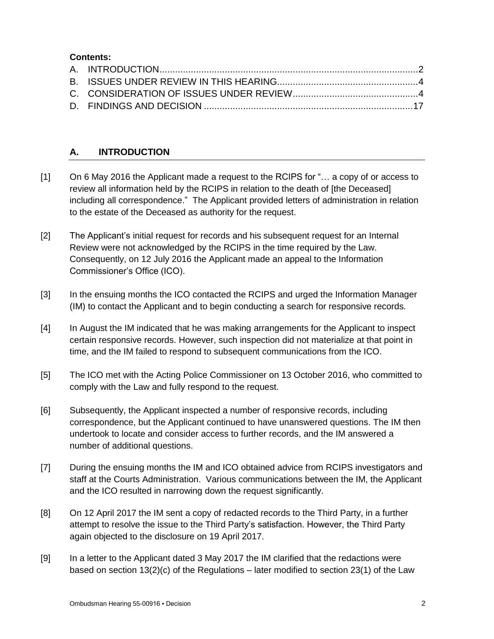## **Contents:**

# **A. INTRODUCTION**

- [1] On 6 May 2016 the Applicant made a request to the RCIPS for "... a copy of or access to review all information held by the RCIPS in relation to the death of [the Deceased] including all correspondence." The Applicant provided letters of administration in relation to the estate of the Deceased as authority for the request.
- [2] The Applicant's initial request for records and his subsequent request for an Internal Review were not acknowledged by the RCIPS in the time required by the Law. Consequently, on 12 July 2016 the Applicant made an appeal to the Information Commissioner's Office (ICO).
- [3] In the ensuing months the ICO contacted the RCIPS and urged the Information Manager (IM) to contact the Applicant and to begin conducting a search for responsive records.
- [4] In August the IM indicated that he was making arrangements for the Applicant to inspect certain responsive records. However, such inspection did not materialize at that point in time, and the IM failed to respond to subsequent communications from the ICO.
- [5] The ICO met with the Acting Police Commissioner on 13 October 2016, who committed to comply with the Law and fully respond to the request.
- [6] Subsequently, the Applicant inspected a number of responsive records, including correspondence, but the Applicant continued to have unanswered questions. The IM then undertook to locate and consider access to further records, and the IM answered a number of additional questions.
- [7] During the ensuing months the IM and ICO obtained advice from RCIPS investigators and staff at the Courts Administration. Various communications between the IM, the Applicant and the ICO resulted in narrowing down the request significantly.
- [8] On 12 April 2017 the IM sent a copy of redacted records to the Third Party, in a further attempt to resolve the issue to the Third Party's satisfaction. However, the Third Party again objected to the disclosure on 19 April 2017.
- [9] In a letter to the Applicant dated 3 May 2017 the IM clarified that the redactions were based on section 13(2)(c) of the Regulations – later modified to section 23(1) of the Law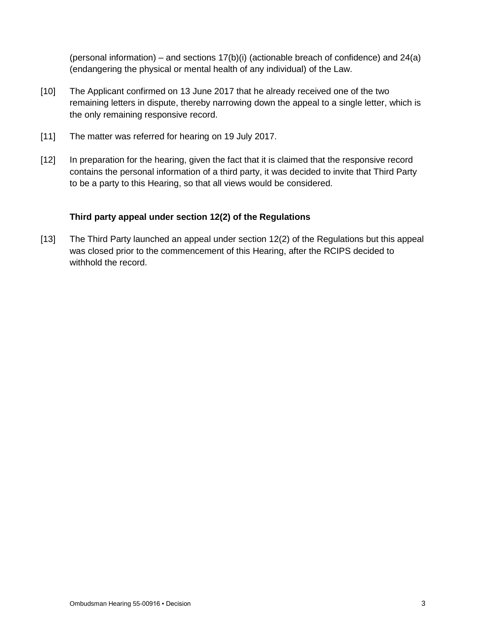(personal information) – and sections  $17(b)(i)$  (actionable breach of confidence) and  $24(a)$ (endangering the physical or mental health of any individual) of the Law.

- [10] The Applicant confirmed on 13 June 2017 that he already received one of the two remaining letters in dispute, thereby narrowing down the appeal to a single letter, which is the only remaining responsive record.
- [11] The matter was referred for hearing on 19 July 2017.
- [12] In preparation for the hearing, given the fact that it is claimed that the responsive record contains the personal information of a third party, it was decided to invite that Third Party to be a party to this Hearing, so that all views would be considered.

## **Third party appeal under section 12(2) of the Regulations**

[13] The Third Party launched an appeal under section 12(2) of the Regulations but this appeal was closed prior to the commencement of this Hearing, after the RCIPS decided to withhold the record.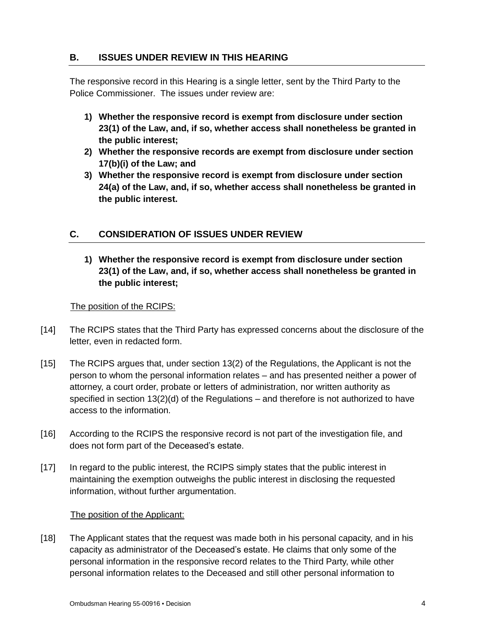# **B. ISSUES UNDER REVIEW IN THIS HEARING**

The responsive record in this Hearing is a single letter, sent by the Third Party to the Police Commissioner. The issues under review are:

- **1) Whether the responsive record is exempt from disclosure under section 23(1) of the Law, and, if so, whether access shall nonetheless be granted in the public interest;**
- **2) Whether the responsive records are exempt from disclosure under section 17(b)(i) of the Law; and**
- **3) Whether the responsive record is exempt from disclosure under section 24(a) of the Law, and, if so, whether access shall nonetheless be granted in the public interest.**

# **C. CONSIDERATION OF ISSUES UNDER REVIEW**

**1) Whether the responsive record is exempt from disclosure under section 23(1) of the Law, and, if so, whether access shall nonetheless be granted in the public interest;**

## The position of the RCIPS:

- [14] The RCIPS states that the Third Party has expressed concerns about the disclosure of the letter, even in redacted form.
- [15] The RCIPS argues that, under section 13(2) of the Regulations, the Applicant is not the person to whom the personal information relates – and has presented neither a power of attorney, a court order, probate or letters of administration, nor written authority as specified in section 13(2)(d) of the Regulations – and therefore is not authorized to have access to the information.
- [16] According to the RCIPS the responsive record is not part of the investigation file, and does not form part of the Deceased's estate.
- [17] In regard to the public interest, the RCIPS simply states that the public interest in maintaining the exemption outweighs the public interest in disclosing the requested information, without further argumentation.

## The position of the Applicant:

[18] The Applicant states that the request was made both in his personal capacity, and in his capacity as administrator of the Deceased's estate. He claims that only some of the personal information in the responsive record relates to the Third Party, while other personal information relates to the Deceased and still other personal information to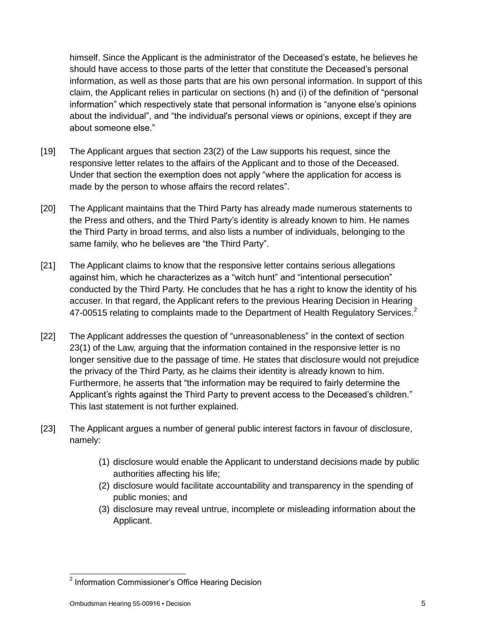himself. Since the Applicant is the administrator of the Deceased's estate, he believes he should have access to those parts of the letter that constitute the Deceased's personal information, as well as those parts that are his own personal information. In support of this claim, the Applicant relies in particular on sections (h) and (i) of the definition of "personal information" which respectively state that personal information is "anyone else's opinions about the individual", and "the individual's personal views or opinions, except if they are about someone else."

- [19] The Applicant argues that section 23(2) of the Law supports his request, since the responsive letter relates to the affairs of the Applicant and to those of the Deceased. Under that section the exemption does not apply "where the application for access is made by the person to whose affairs the record relates".
- [20] The Applicant maintains that the Third Party has already made numerous statements to the Press and others, and the Third Party's identity is already known to him. He names the Third Party in broad terms, and also lists a number of individuals, belonging to the same family, who he believes are "the Third Party".
- [21] The Applicant claims to know that the responsive letter contains serious allegations against him, which he characterizes as a "witch hunt" and "intentional persecution" conducted by the Third Party. He concludes that he has a right to know the identity of his accuser. In that regard, the Applicant refers to the previous Hearing Decision in Hearing 47-00515 relating to complaints made to the Department of Health Regulatory Services.<sup>2</sup>
- [22] The Applicant addresses the question of "unreasonableness" in the context of section 23(1) of the Law, arguing that the information contained in the responsive letter is no longer sensitive due to the passage of time. He states that disclosure would not prejudice the privacy of the Third Party, as he claims their identity is already known to him. Furthermore, he asserts that "the information may be required to fairly determine the Applicant's rights against the Third Party to prevent access to the Deceased's children." This last statement is not further explained.
- [23] The Applicant argues a number of general public interest factors in favour of disclosure, namely:
	- (1) disclosure would enable the Applicant to understand decisions made by public authorities affecting his life;
	- (2) disclosure would facilitate accountability and transparency in the spending of public monies; and
	- (3) disclosure may reveal untrue, incomplete or misleading information about the Applicant.

 2 Information Commissioner's Office Hearing Decision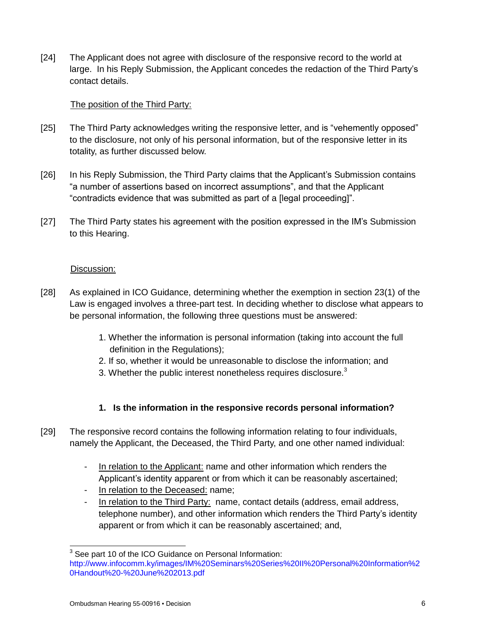[24] The Applicant does not agree with disclosure of the responsive record to the world at large. In his Reply Submission, the Applicant concedes the redaction of the Third Party's contact details.

## The position of the Third Party:

- [25] The Third Party acknowledges writing the responsive letter, and is "vehemently opposed" to the disclosure, not only of his personal information, but of the responsive letter in its totality, as further discussed below.
- [26] In his Reply Submission, the Third Party claims that the Applicant's Submission contains "a number of assertions based on incorrect assumptions", and that the Applicant "contradicts evidence that was submitted as part of a [legal proceeding]".
- [27] The Third Party states his agreement with the position expressed in the IM's Submission to this Hearing.

## Discussion:

- [28] As explained in ICO Guidance, determining whether the exemption in section 23(1) of the Law is engaged involves a three-part test. In deciding whether to disclose what appears to be personal information, the following three questions must be answered:
	- 1. Whether the information is personal information (taking into account the full definition in the Regulations);
	- 2. If so, whether it would be unreasonable to disclose the information; and
	- 3. Whether the public interest nonetheless requires disclosure. $3$

# **1. Is the information in the responsive records personal information?**

- [29] The responsive record contains the following information relating to four individuals, namely the Applicant, the Deceased, the Third Party, and one other named individual:
	- In relation to the Applicant: name and other information which renders the Applicant's identity apparent or from which it can be reasonably ascertained;
	- In relation to the Deceased: name;
	- In relation to the Third Party: name, contact details (address, email address, telephone number), and other information which renders the Third Party's identity apparent or from which it can be reasonably ascertained; and,

 3 See part 10 of the ICO Guidance on Personal Information: http://www.infocomm.ky/images/IM%20Seminars%20Series%20II%20Personal%20Information%2 0Handout%20-%20June%202013.pdf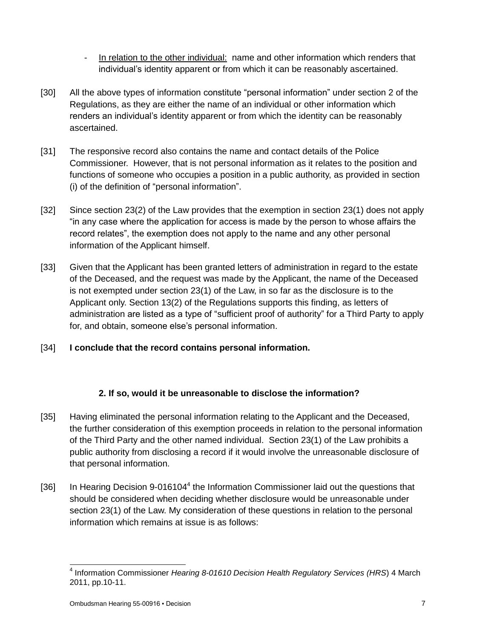- In relation to the other individual: name and other information which renders that individual's identity apparent or from which it can be reasonably ascertained.
- [30] All the above types of information constitute "personal information" under section 2 of the Regulations, as they are either the name of an individual or other information which renders an individual's identity apparent or from which the identity can be reasonably ascertained.
- [31] The responsive record also contains the name and contact details of the Police Commissioner. However, that is not personal information as it relates to the position and functions of someone who occupies a position in a public authority, as provided in section (i) of the definition of "personal information".
- [32] Since section 23(2) of the Law provides that the exemption in section 23(1) does not apply "in any case where the application for access is made by the person to whose affairs the record relates", the exemption does not apply to the name and any other personal information of the Applicant himself.
- [33] Given that the Applicant has been granted letters of administration in regard to the estate of the Deceased, and the request was made by the Applicant, the name of the Deceased is not exempted under section 23(1) of the Law, in so far as the disclosure is to the Applicant only. Section 13(2) of the Regulations supports this finding, as letters of administration are listed as a type of "sufficient proof of authority" for a Third Party to apply for, and obtain, someone else's personal information.

# [34] **I conclude that the record contains personal information.**

# **2. If so, would it be unreasonable to disclose the information?**

- [35] Having eliminated the personal information relating to the Applicant and the Deceased, the further consideration of this exemption proceeds in relation to the personal information of the Third Party and the other named individual. Section 23(1) of the Law prohibits a public authority from disclosing a record if it would involve the unreasonable disclosure of that personal information.
- [36] In Hearing Decision 9-016104<sup>4</sup> the Information Commissioner laid out the questions that should be considered when deciding whether disclosure would be unreasonable under section 23(1) of the Law. My consideration of these questions in relation to the personal information which remains at issue is as follows:

 4 Information Commissioner *Hearing 8-01610 Decision Health Regulatory Services (HRS*) 4 March 2011, pp.10-11.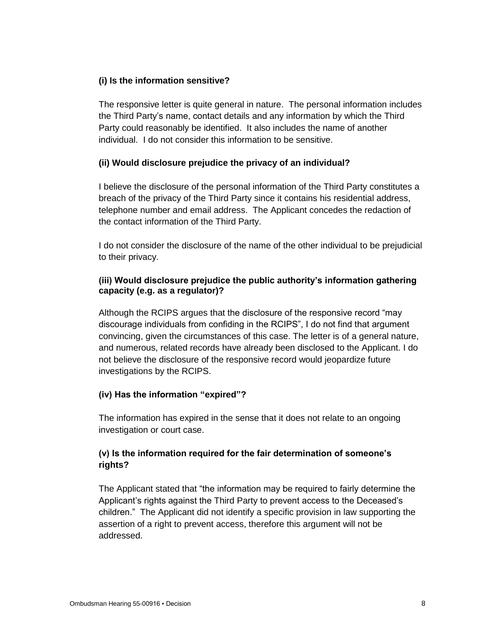## **(i) Is the information sensitive?**

The responsive letter is quite general in nature. The personal information includes the Third Party's name, contact details and any information by which the Third Party could reasonably be identified. It also includes the name of another individual. I do not consider this information to be sensitive.

## **(ii) Would disclosure prejudice the privacy of an individual?**

I believe the disclosure of the personal information of the Third Party constitutes a breach of the privacy of the Third Party since it contains his residential address, telephone number and email address. The Applicant concedes the redaction of the contact information of the Third Party.

I do not consider the disclosure of the name of the other individual to be prejudicial to their privacy.

## **(iii) Would disclosure prejudice the public authority's information gathering capacity (e.g. as a regulator)?**

Although the RCIPS argues that the disclosure of the responsive record "may discourage individuals from confiding in the RCIPS", I do not find that argument convincing, given the circumstances of this case. The letter is of a general nature, and numerous, related records have already been disclosed to the Applicant. I do not believe the disclosure of the responsive record would jeopardize future investigations by the RCIPS.

# **(iv) Has the information "expired"?**

The information has expired in the sense that it does not relate to an ongoing investigation or court case.

# **(v) Is the information required for the fair determination of someone's rights?**

The Applicant stated that "the information may be required to fairly determine the Applicant's rights against the Third Party to prevent access to the Deceased's children." The Applicant did not identify a specific provision in law supporting the assertion of a right to prevent access, therefore this argument will not be addressed.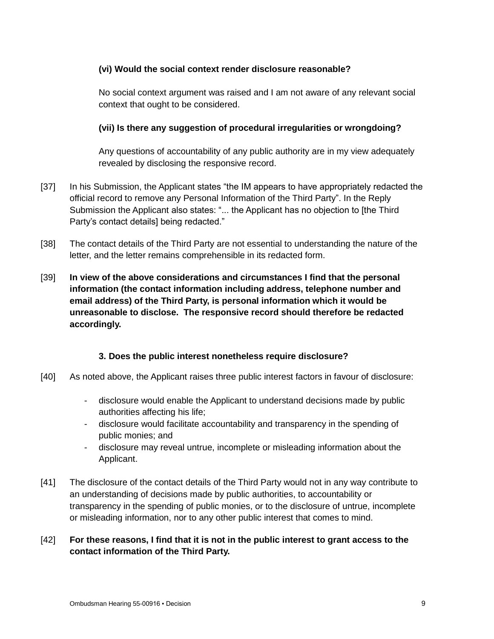## **(vi) Would the social context render disclosure reasonable?**

No social context argument was raised and I am not aware of any relevant social context that ought to be considered.

## **(vii) Is there any suggestion of procedural irregularities or wrongdoing?**

Any questions of accountability of any public authority are in my view adequately revealed by disclosing the responsive record.

- [37] In his Submission, the Applicant states "the IM appears to have appropriately redacted the official record to remove any Personal Information of the Third Party". In the Reply Submission the Applicant also states: "... the Applicant has no objection to [the Third Party's contact details] being redacted."
- [38] The contact details of the Third Party are not essential to understanding the nature of the letter, and the letter remains comprehensible in its redacted form.
- [39] **In view of the above considerations and circumstances I find that the personal information (the contact information including address, telephone number and email address) of the Third Party, is personal information which it would be unreasonable to disclose. The responsive record should therefore be redacted accordingly.**

## **3. Does the public interest nonetheless require disclosure?**

- [40] As noted above, the Applicant raises three public interest factors in favour of disclosure:
	- disclosure would enable the Applicant to understand decisions made by public authorities affecting his life;
	- disclosure would facilitate accountability and transparency in the spending of public monies; and
	- disclosure may reveal untrue, incomplete or misleading information about the Applicant.
- [41] The disclosure of the contact details of the Third Party would not in any way contribute to an understanding of decisions made by public authorities, to accountability or transparency in the spending of public monies, or to the disclosure of untrue, incomplete or misleading information, nor to any other public interest that comes to mind.

## [42] **For these reasons, I find that it is not in the public interest to grant access to the contact information of the Third Party.**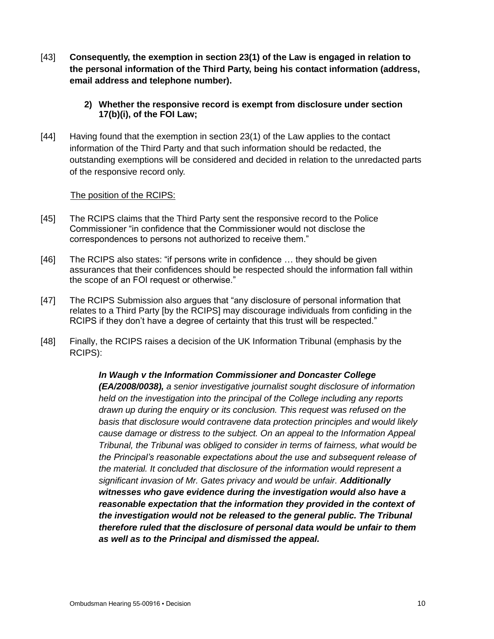[43] **Consequently, the exemption in section 23(1) of the Law is engaged in relation to the personal information of the Third Party, being his contact information (address, email address and telephone number).**

## **2) Whether the responsive record is exempt from disclosure under section 17(b)(i), of the FOI Law;**

[44] Having found that the exemption in section 23(1) of the Law applies to the contact information of the Third Party and that such information should be redacted, the outstanding exemptions will be considered and decided in relation to the unredacted parts of the responsive record only.

## The position of the RCIPS:

- [45] The RCIPS claims that the Third Party sent the responsive record to the Police Commissioner "in confidence that the Commissioner would not disclose the correspondences to persons not authorized to receive them."
- [46] The RCIPS also states: "if persons write in confidence … they should be given assurances that their confidences should be respected should the information fall within the scope of an FOI request or otherwise."
- [47] The RCIPS Submission also argues that "any disclosure of personal information that relates to a Third Party [by the RCIPS] may discourage individuals from confiding in the RCIPS if they don't have a degree of certainty that this trust will be respected."
- [48] Finally, the RCIPS raises a decision of the UK Information Tribunal (emphasis by the RCIPS):

# *In Waugh v the Information Commissioner and Doncaster College (EA/2008/0038), a senior investigative journalist sought disclosure of information*

*held on the investigation into the principal of the College including any reports drawn up during the enquiry or its conclusion. This request was refused on the basis that disclosure would contravene data protection principles and would likely cause damage or distress to the subject. On an appeal to the Information Appeal Tribunal, the Tribunal was obliged to consider in terms of fairness, what would be the Principal's reasonable expectations about the use and subsequent release of the material. It concluded that disclosure of the information would represent a significant invasion of Mr. Gates privacy and would be unfair. Additionally witnesses who gave evidence during the investigation would also have a reasonable expectation that the information they provided in the context of the investigation would not be released to the general public. The Tribunal therefore ruled that the disclosure of personal data would be unfair to them as well as to the Principal and dismissed the appeal.*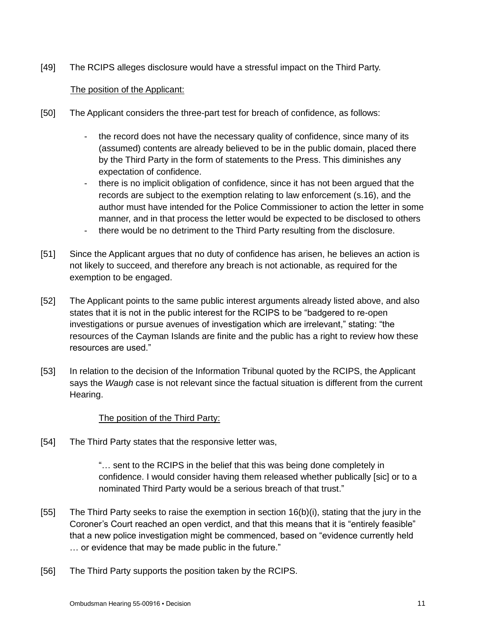[49] The RCIPS alleges disclosure would have a stressful impact on the Third Party.

## The position of the Applicant:

- [50] The Applicant considers the three-part test for breach of confidence, as follows:
	- the record does not have the necessary quality of confidence, since many of its (assumed) contents are already believed to be in the public domain, placed there by the Third Party in the form of statements to the Press. This diminishes any expectation of confidence.
	- there is no implicit obligation of confidence, since it has not been argued that the records are subject to the exemption relating to law enforcement (s.16), and the author must have intended for the Police Commissioner to action the letter in some manner, and in that process the letter would be expected to be disclosed to others
	- there would be no detriment to the Third Party resulting from the disclosure.
- [51] Since the Applicant argues that no duty of confidence has arisen, he believes an action is not likely to succeed, and therefore any breach is not actionable, as required for the exemption to be engaged.
- [52] The Applicant points to the same public interest arguments already listed above, and also states that it is not in the public interest for the RCIPS to be "badgered to re-open investigations or pursue avenues of investigation which are irrelevant," stating: "the resources of the Cayman Islands are finite and the public has a right to review how these resources are used."
- [53] In relation to the decision of the Information Tribunal quoted by the RCIPS, the Applicant says the *Waugh* case is not relevant since the factual situation is different from the current Hearing.

## The position of the Third Party:

[54] The Third Party states that the responsive letter was,

"… sent to the RCIPS in the belief that this was being done completely in confidence. I would consider having them released whether publically [sic] or to a nominated Third Party would be a serious breach of that trust."

- [55] The Third Party seeks to raise the exemption in section 16(b)(i), stating that the jury in the Coroner's Court reached an open verdict, and that this means that it is "entirely feasible" that a new police investigation might be commenced, based on "evidence currently held … or evidence that may be made public in the future."
- [56] The Third Party supports the position taken by the RCIPS.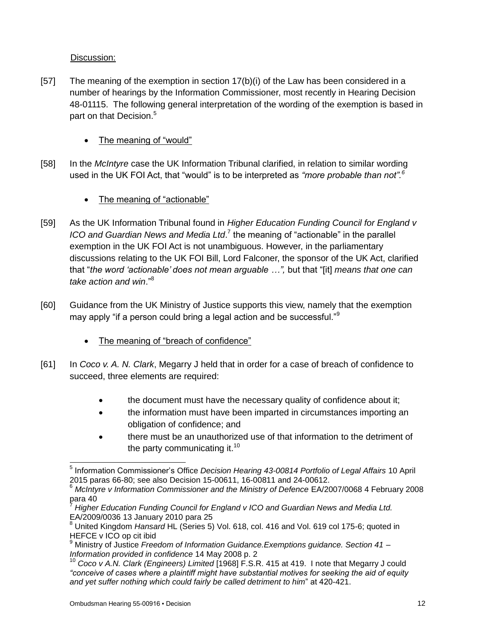# Discussion:

- [57] The meaning of the exemption in section 17(b)(i) of the Law has been considered in a number of hearings by the Information Commissioner, most recently in Hearing Decision 48-01115. The following general interpretation of the wording of the exemption is based in part on that Decision.<sup>5</sup>
	- The meaning of "would"
- [58] In the *McIntyre* case the UK Information Tribunal clarified, in relation to similar wording used in the UK FOI Act, that "would" is to be interpreted as *"more probable than not".<sup>6</sup>*
	- The meaning of "actionable"
- [59] As the UK Information Tribunal found in *Higher Education Funding Council for England v*  ICO and Guardian News and Media Ltd.<sup>7</sup> the meaning of "actionable" in the parallel exemption in the UK FOI Act is not unambiguous. However, in the parliamentary discussions relating to the UK FOI Bill, Lord Falconer, the sponsor of the UK Act, clarified that "*the word 'actionable' does not mean arguable …",* but that "[it] *means that one can take action and win*."<sup>8</sup>
- [60] Guidance from the UK Ministry of Justice supports this view, namely that the exemption may apply "if a person could bring a legal action and be successful."<sup>9</sup>
	- The meaning of "breach of confidence"
- [61] In *Coco v. A. N. Clark*, Megarry J held that in order for a case of breach of confidence to succeed, three elements are required:
	- the document must have the necessary quality of confidence about it;
	- the information must have been imparted in circumstances importing an obligation of confidence; and
	- there must be an unauthorized use of that information to the detriment of the party communicating it. $10<sup>10</sup>$

 5 Information Commissioner's Office *Decision Hearing 43-00814 Portfolio of Legal Affairs* 10 April 2015 paras 66-80; see also Decision 15-00611, 16-00811 and 24-00612.

<sup>6</sup> *McIntyre v Information Commissioner and the Ministry of Defence* EA/2007/0068 4 February 2008 para 40

<sup>7</sup> *Higher Education Funding Council for England v ICO and Guardian News and Media Ltd.* EA/2009/0036 13 January 2010 para 25

<sup>8</sup> United Kingdom *Hansard* HL (Series 5) Vol. 618, col. 416 and Vol. 619 col 175-6; quoted in HEFCE v ICO op cit ibid

<sup>9</sup> Ministry of Justice *Freedom of Information Guidance.Exemptions guidance. Section 41 – Information provided in confidence* 14 May 2008 p. 2

<sup>10</sup> *Coco v A.N. Clark (Engineers) Limited* [1968] F.S.R. 415 at 419. I note that Megarry J could *"conceive of cases where a plaintiff might have substantial motives for seeking the aid of equity and yet suffer nothing which could fairly be called detriment to him*" at 420-421.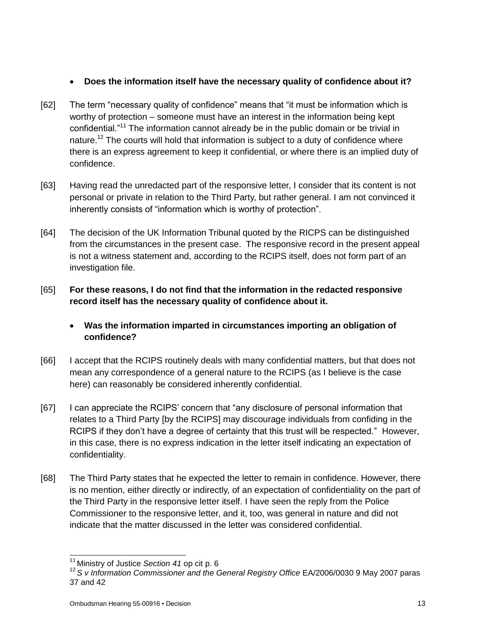## **Does the information itself have the necessary quality of confidence about it?**

- [62] The term "necessary quality of confidence" means that "it must be information which is worthy of protection – someone must have an interest in the information being kept confidential."<sup>11</sup> The information cannot already be in the public domain or be trivial in nature.<sup>12</sup> The courts will hold that information is subject to a duty of confidence where there is an express agreement to keep it confidential, or where there is an implied duty of confidence.
- [63] Having read the unredacted part of the responsive letter, I consider that its content is not personal or private in relation to the Third Party, but rather general. I am not convinced it inherently consists of "information which is worthy of protection".
- [64] The decision of the UK Information Tribunal quoted by the RICPS can be distinguished from the circumstances in the present case. The responsive record in the present appeal is not a witness statement and, according to the RCIPS itself, does not form part of an investigation file.
- [65] **For these reasons, I do not find that the information in the redacted responsive record itself has the necessary quality of confidence about it.**
	- **Was the information imparted in circumstances importing an obligation of confidence?**
- [66] I accept that the RCIPS routinely deals with many confidential matters, but that does not mean any correspondence of a general nature to the RCIPS (as I believe is the case here) can reasonably be considered inherently confidential.
- [67] I can appreciate the RCIPS' concern that "any disclosure of personal information that relates to a Third Party [by the RCIPS] may discourage individuals from confiding in the RCIPS if they don't have a degree of certainty that this trust will be respected." However, in this case, there is no express indication in the letter itself indicating an expectation of confidentiality.
- [68] The Third Party states that he expected the letter to remain in confidence. However, there is no mention, either directly or indirectly, of an expectation of confidentiality on the part of the Third Party in the responsive letter itself. I have seen the reply from the Police Commissioner to the responsive letter, and it, too, was general in nature and did not indicate that the matter discussed in the letter was considered confidential.

 $\overline{a}$ <sup>11</sup> Ministry of Justice *Section 41* op cit p. 6

<sup>12</sup> *S v Information Commissioner and the General Registry Office* EA/2006/0030 9 May 2007 paras 37 and 42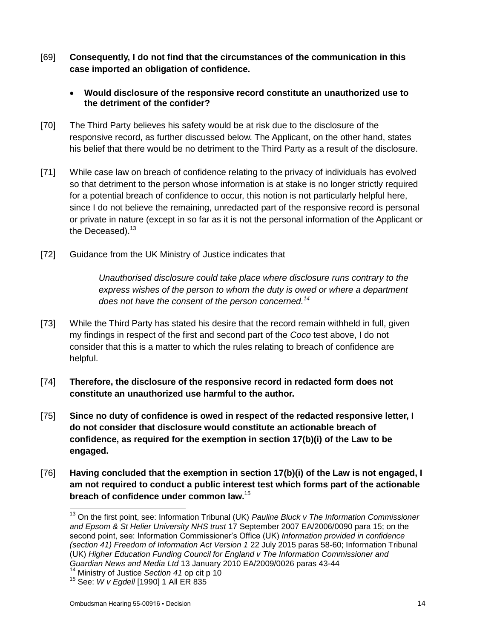- [69] **Consequently, I do not find that the circumstances of the communication in this case imported an obligation of confidence.**
	- **Would disclosure of the responsive record constitute an unauthorized use to the detriment of the confider?**
- [70] The Third Party believes his safety would be at risk due to the disclosure of the responsive record, as further discussed below. The Applicant, on the other hand, states his belief that there would be no detriment to the Third Party as a result of the disclosure.
- [71] While case law on breach of confidence relating to the privacy of individuals has evolved so that detriment to the person whose information is at stake is no longer strictly required for a potential breach of confidence to occur, this notion is not particularly helpful here, since I do not believe the remaining, unredacted part of the responsive record is personal or private in nature (except in so far as it is not the personal information of the Applicant or the Deceased).<sup>13</sup>
- [72] Guidance from the UK Ministry of Justice indicates that

*Unauthorised disclosure could take place where disclosure runs contrary to the express wishes of the person to whom the duty is owed or where a department does not have the consent of the person concerned.<sup>14</sup>*

- [73] While the Third Party has stated his desire that the record remain withheld in full, given my findings in respect of the first and second part of the *Coco* test above, I do not consider that this is a matter to which the rules relating to breach of confidence are helpful.
- [74] **Therefore, the disclosure of the responsive record in redacted form does not constitute an unauthorized use harmful to the author.**
- [75] **Since no duty of confidence is owed in respect of the redacted responsive letter, I do not consider that disclosure would constitute an actionable breach of confidence, as required for the exemption in section 17(b)(i) of the Law to be engaged.**
- [76] **Having concluded that the exemption in section 17(b)(i) of the Law is not engaged, I am not required to conduct a public interest test which forms part of the actionable breach of confidence under common law.**<sup>15</sup>

 $\overline{a}$ 

<sup>&</sup>lt;sup>13</sup> On the first point, see: Information Tribunal (UK) *Pauline Bluck v The Information Commissioner and Epsom & St Helier University NHS trust* 17 September 2007 EA/2006/0090 para 15; on the second point, see: Information Commissioner's Office (UK) *Information provided in confidence (section 41) Freedom of Information Act Version 1* 22 July 2015 paras 58-60; Information Tribunal (UK) *Higher Education Funding Council for England v The Information Commissioner and Guardian News and Media Ltd* 13 January 2010 EA/2009/0026 paras 43-44

<sup>14</sup> Ministry of Justice *Section 41* op cit p 10

<sup>15</sup> See: *W v Egdell* [1990] 1 All ER 835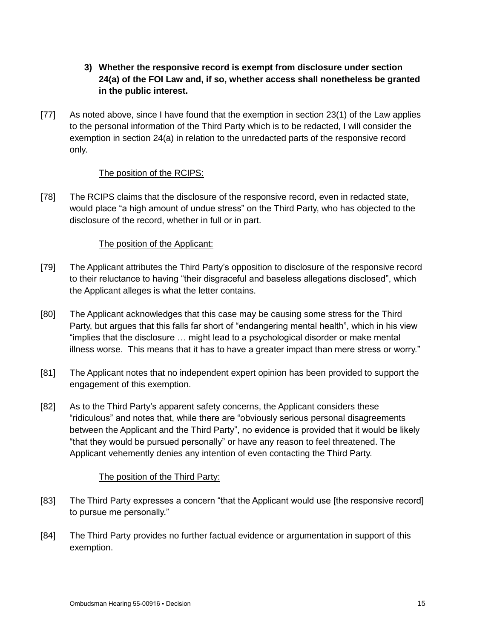- **3) Whether the responsive record is exempt from disclosure under section 24(a) of the FOI Law and, if so, whether access shall nonetheless be granted in the public interest.**
- [77] As noted above, since I have found that the exemption in section 23(1) of the Law applies to the personal information of the Third Party which is to be redacted, I will consider the exemption in section 24(a) in relation to the unredacted parts of the responsive record only.

## The position of the RCIPS:

[78] The RCIPS claims that the disclosure of the responsive record, even in redacted state, would place "a high amount of undue stress" on the Third Party, who has objected to the disclosure of the record, whether in full or in part.

## The position of the Applicant:

- [79] The Applicant attributes the Third Party's opposition to disclosure of the responsive record to their reluctance to having "their disgraceful and baseless allegations disclosed", which the Applicant alleges is what the letter contains.
- [80] The Applicant acknowledges that this case may be causing some stress for the Third Party, but argues that this falls far short of "endangering mental health", which in his view "implies that the disclosure … might lead to a psychological disorder or make mental illness worse. This means that it has to have a greater impact than mere stress or worry."
- [81] The Applicant notes that no independent expert opinion has been provided to support the engagement of this exemption.
- [82] As to the Third Party's apparent safety concerns, the Applicant considers these "ridiculous" and notes that, while there are "obviously serious personal disagreements between the Applicant and the Third Party", no evidence is provided that it would be likely "that they would be pursued personally" or have any reason to feel threatened. The Applicant vehemently denies any intention of even contacting the Third Party.

## The position of the Third Party:

- [83] The Third Party expresses a concern "that the Applicant would use [the responsive record] to pursue me personally."
- [84] The Third Party provides no further factual evidence or argumentation in support of this exemption.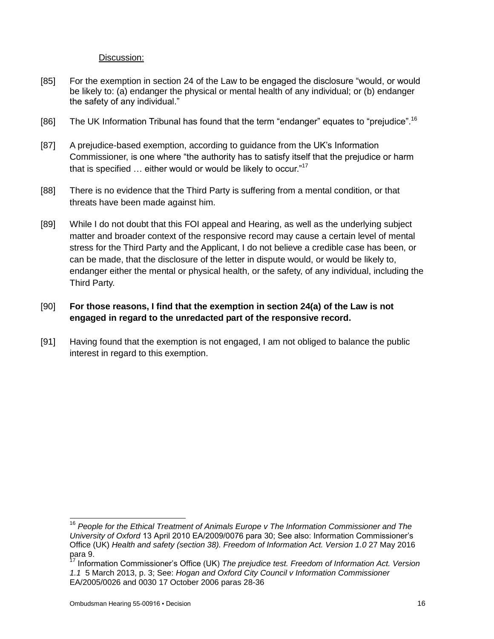#### Discussion:

- [85] For the exemption in section 24 of the Law to be engaged the disclosure "would, or would be likely to: (a) endanger the physical or mental health of any individual; or (b) endanger the safety of any individual."
- [86] The UK Information Tribunal has found that the term "endanger" equates to "prejudice".<sup>16</sup>
- [87] A prejudice-based exemption, according to guidance from the UK's Information Commissioner, is one where "the authority has to satisfy itself that the prejudice or harm that is specified ... either would or would be likely to occur."<sup>17</sup>
- [88] There is no evidence that the Third Party is suffering from a mental condition, or that threats have been made against him.
- [89] While I do not doubt that this FOI appeal and Hearing, as well as the underlying subject matter and broader context of the responsive record may cause a certain level of mental stress for the Third Party and the Applicant, I do not believe a credible case has been, or can be made, that the disclosure of the letter in dispute would, or would be likely to, endanger either the mental or physical health, or the safety, of any individual, including the Third Party.

# [90] **For those reasons, I find that the exemption in section 24(a) of the Law is not engaged in regard to the unredacted part of the responsive record.**

[91] Having found that the exemption is not engaged, I am not obliged to balance the public interest in regard to this exemption.

l

<sup>16</sup> *People for the Ethical Treatment of Animals Europe v The Information Commissioner and The University of Oxford* 13 April 2010 EA/2009/0076 para 30; See also: Information Commissioner's Office (UK) *Health and safety (section 38). Freedom of Information Act. Version 1.0* 27 May 2016 para 9.

<sup>17</sup> Information Commissioner's Office (UK) *The prejudice test. Freedom of Information Act. Version 1.1* 5 March 2013, p. 3; See: *Hogan and Oxford City Council v Information Commissioner* EA/2005/0026 and 0030 17 October 2006 paras 28-36